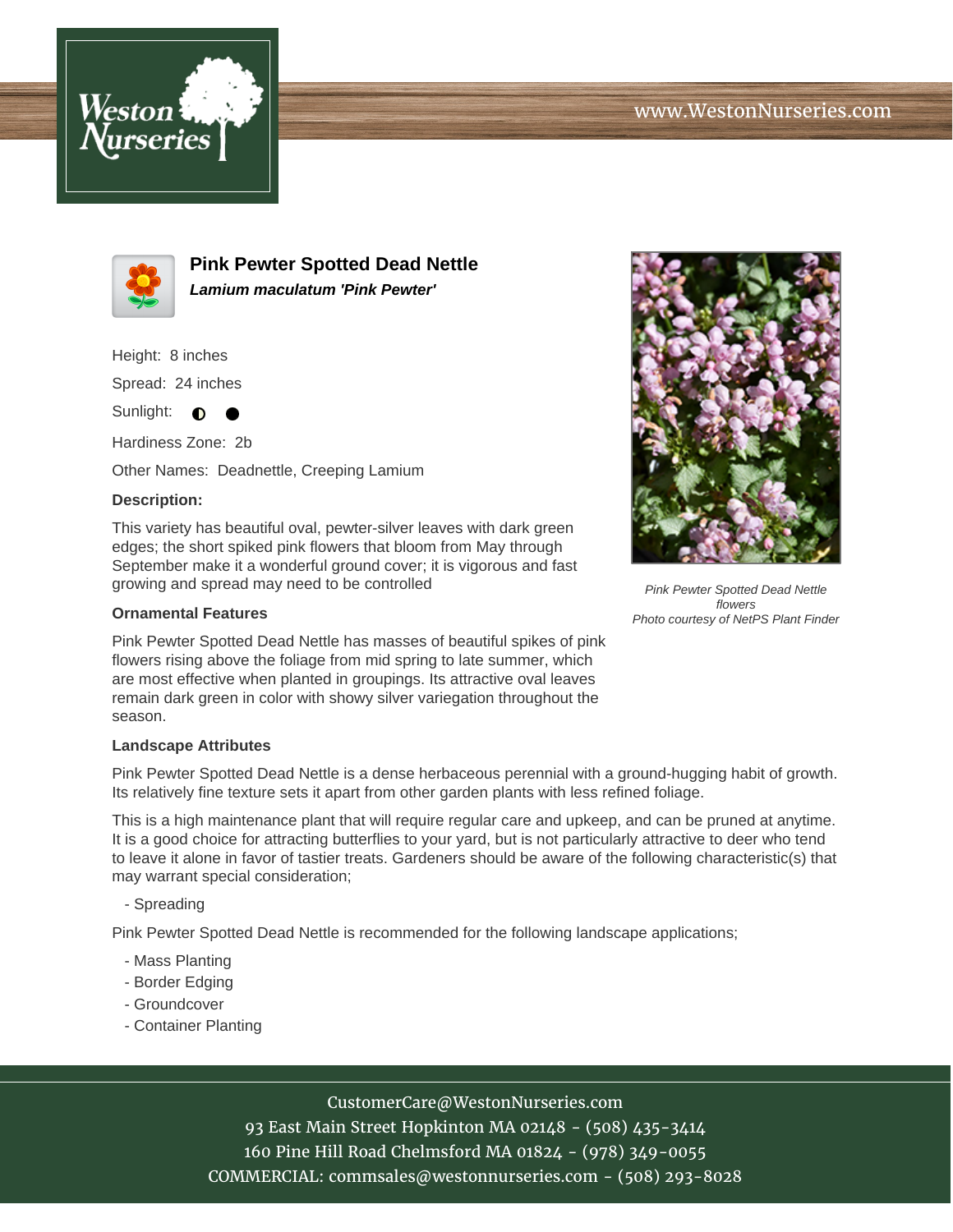



**Pink Pewter Spotted Dead Nettle Lamium maculatum 'Pink Pewter'**

Height: 8 inches

Spread: 24 inches

Sunlight:  $\bullet$ ╺

Hardiness Zone: 2b

Other Names: Deadnettle, Creeping Lamium

### **Description:**

This variety has beautiful oval, pewter-silver leaves with dark green edges; the short spiked pink flowers that bloom from May through September make it a wonderful ground cover; it is vigorous and fast growing and spread may need to be controlled

#### **Ornamental Features**

Pink Pewter Spotted Dead Nettle has masses of beautiful spikes of pink flowers rising above the foliage from mid spring to late summer, which are most effective when planted in groupings. Its attractive oval leaves remain dark green in color with showy silver variegation throughout the season.

#### **Landscape Attributes**

Pink Pewter Spotted Dead Nettle is a dense herbaceous perennial with a ground-hugging habit of growth. Its relatively fine texture sets it apart from other garden plants with less refined foliage.

This is a high maintenance plant that will require regular care and upkeep, and can be pruned at anytime. It is a good choice for attracting butterflies to your yard, but is not particularly attractive to deer who tend to leave it alone in favor of tastier treats. Gardeners should be aware of the following characteristic(s) that may warrant special consideration;

- Spreading

Pink Pewter Spotted Dead Nettle is recommended for the following landscape applications;

- Mass Planting
- Border Edging
- Groundcover
- Container Planting



# CustomerCare@WestonNurseries.com

93 East Main Street Hopkinton MA 02148 - (508) 435-3414 160 Pine Hill Road Chelmsford MA 01824 - (978) 349-0055 COMMERCIAL: commsales@westonnurseries.com - (508) 293-8028